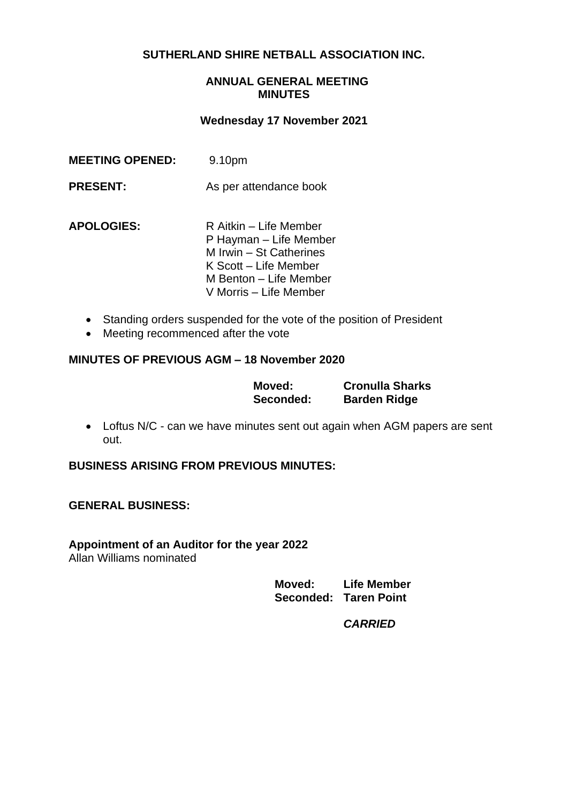## **SUTHERLAND SHIRE NETBALL ASSOCIATION INC.**

## **ANNUAL GENERAL MEETING MINUTES**

#### **Wednesday 17 November 2021**

| <b>MEETING OPENED:</b> | 9.10pm                                                                                                                                                   |
|------------------------|----------------------------------------------------------------------------------------------------------------------------------------------------------|
| <b>PRESENT:</b>        | As per attendance book                                                                                                                                   |
| <b>APOLOGIES:</b>      | R Aitkin - Life Member<br>P Hayman – Life Member<br>M Irwin - St Catherines<br>K Scott – Life Member<br>M Benton – Life Member<br>V Morris – Life Member |

- Standing orders suspended for the vote of the position of President
- Meeting recommenced after the vote

#### **MINUTES OF PREVIOUS AGM – 18 November 2020**

| Moved:    | <b>Cronulla Sharks</b> |
|-----------|------------------------|
| Seconded: | <b>Barden Ridge</b>    |

• Loftus N/C - can we have minutes sent out again when AGM papers are sent out.

## **BUSINESS ARISING FROM PREVIOUS MINUTES:**

#### **GENERAL BUSINESS:**

# **Appointment of an Auditor for the year 2022**

Allan Williams nominated

| Moved: | <b>Life Member</b>    |
|--------|-----------------------|
|        | Seconded: Taren Point |

*CARRIED*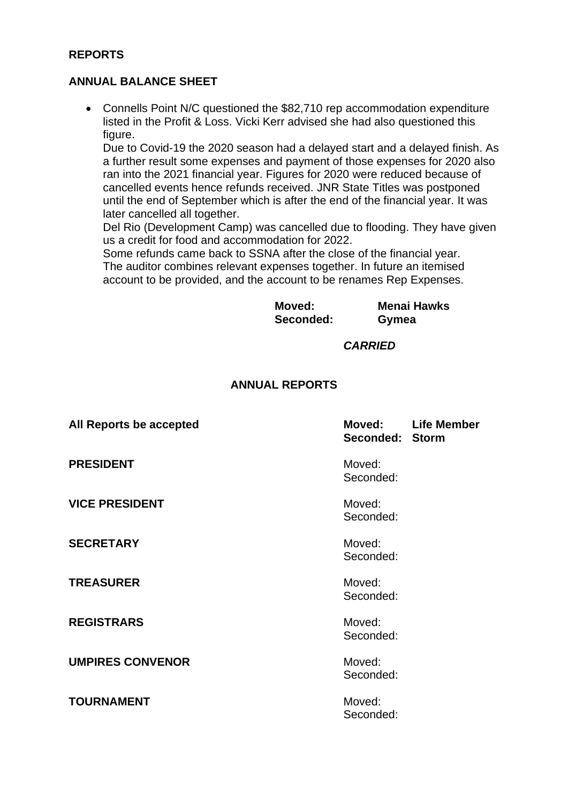## **REPORTS**

## **ANNUAL BALANCE SHEET**

• Connells Point N/C questioned the \$82,710 rep accommodation expenditure listed in the Profit & Loss. Vicki Kerr advised she had also questioned this figure.

Due to Covid-19 the 2020 season had a delayed start and a delayed finish. As a further result some expenses and payment of those expenses for 2020 also ran into the 2021 financial year. Figures for 2020 were reduced because of cancelled events hence refunds received. JNR State Titles was postponed until the end of September which is after the end of the financial year. It was later cancelled all together.

Del Rio (Development Camp) was cancelled due to flooding. They have given us a credit for food and accommodation for 2022.

Some refunds came back to SSNA after the close of the financial year. The auditor combines relevant expenses together. In future an itemised account to be provided, and the account to be renames Rep Expenses.

| Moved:    | <b>Menai Hawks</b> |
|-----------|--------------------|
| Seconded: | Gymea              |

*CARRIED*

#### **ANNUAL REPORTS**

| All Reports be accepted | Moved:<br>Seconded: Storm | <b>Life Member</b> |
|-------------------------|---------------------------|--------------------|
| <b>PRESIDENT</b>        | Moved:<br>Seconded:       |                    |
| <b>VICE PRESIDENT</b>   | Moved:<br>Seconded:       |                    |
| <b>SECRETARY</b>        | Moved:<br>Seconded:       |                    |
| <b>TREASURER</b>        | Moved:<br>Seconded:       |                    |
| <b>REGISTRARS</b>       | Moved:<br>Seconded:       |                    |
| <b>UMPIRES CONVENOR</b> | Moved:<br>Seconded:       |                    |
| <b>TOURNAMENT</b>       | Moved:<br>Seconded:       |                    |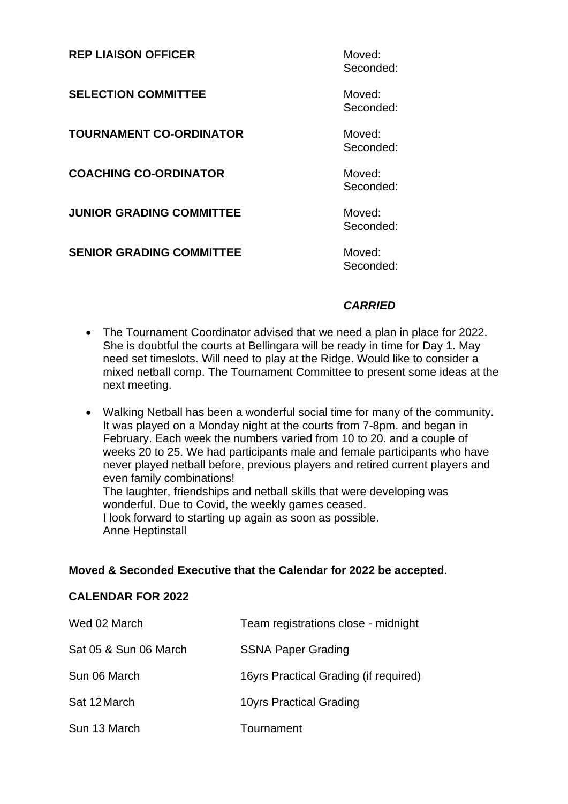| <b>REP LIAISON OFFICER</b>      | Moved:<br>Seconded: |
|---------------------------------|---------------------|
| <b>SELECTION COMMITTEE</b>      | Moved:<br>Seconded: |
| <b>TOURNAMENT CO-ORDINATOR</b>  | Moved:<br>Seconded: |
| <b>COACHING CO-ORDINATOR</b>    | Moved:<br>Seconded: |
| <b>JUNIOR GRADING COMMITTEE</b> | Moved:<br>Seconded: |
| <b>SENIOR GRADING COMMITTEE</b> | Moved:<br>Seconded: |

## *CARRIED*

- The Tournament Coordinator advised that we need a plan in place for 2022. She is doubtful the courts at Bellingara will be ready in time for Day 1. May need set timeslots. Will need to play at the Ridge. Would like to consider a mixed netball comp. The Tournament Committee to present some ideas at the next meeting.
- Walking Netball has been a wonderful social time for many of the community. It was played on a Monday night at the courts from 7-8pm. and began in February. Each week the numbers varied from 10 to 20. and a couple of weeks 20 to 25. We had participants male and female participants who have never played netball before, previous players and retired current players and even family combinations! The laughter, friendships and netball skills that were developing was wonderful. Due to Covid, the weekly games ceased.

I look forward to starting up again as soon as possible. Anne Heptinstall

## **Moved & Seconded Executive that the Calendar for 2022 be accepted**.

## **CALENDAR FOR 2022**

| Wed 02 March          | Team registrations close - midnight   |
|-----------------------|---------------------------------------|
| Sat 05 & Sun 06 March | <b>SSNA Paper Grading</b>             |
| Sun 06 March          | 16yrs Practical Grading (if required) |
| Sat 12 March          | 10yrs Practical Grading               |
| Sun 13 March          | Tournament                            |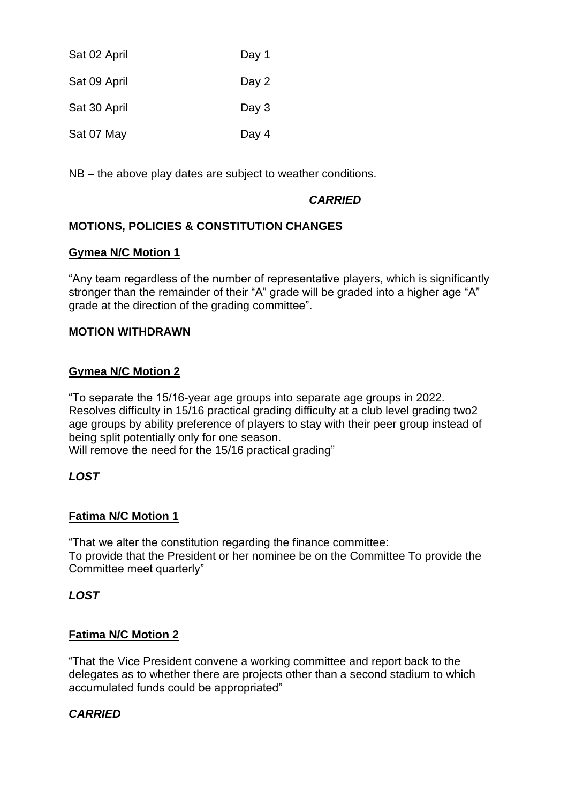| Sat 02 April | Day 1   |
|--------------|---------|
| Sat 09 April | Day 2   |
| Sat 30 April | Day $3$ |
| Sat 07 May   | Day 4   |

NB – the above play dates are subject to weather conditions.

## *CARRIED*

## **MOTIONS, POLICIES & CONSTITUTION CHANGES**

#### **Gymea N/C Motion 1**

"Any team regardless of the number of representative players, which is significantly stronger than the remainder of their "A" grade will be graded into a higher age "A" grade at the direction of the grading committee".

## **MOTION WITHDRAWN**

## **Gymea N/C Motion 2**

"To separate the 15/16-year age groups into separate age groups in 2022. Resolves difficulty in 15/16 practical grading difficulty at a club level grading two2 age groups by ability preference of players to stay with their peer group instead of being split potentially only for one season.

Will remove the need for the 15/16 practical grading"

## *LOST*

## **Fatima N/C Motion 1**

"That we alter the constitution regarding the finance committee: To provide that the President or her nominee be on the Committee To provide the Committee meet quarterly"

## *LOST*

## **Fatima N/C Motion 2**

"That the Vice President convene a working committee and report back to the delegates as to whether there are projects other than a second stadium to which accumulated funds could be appropriated"

## *CARRIED*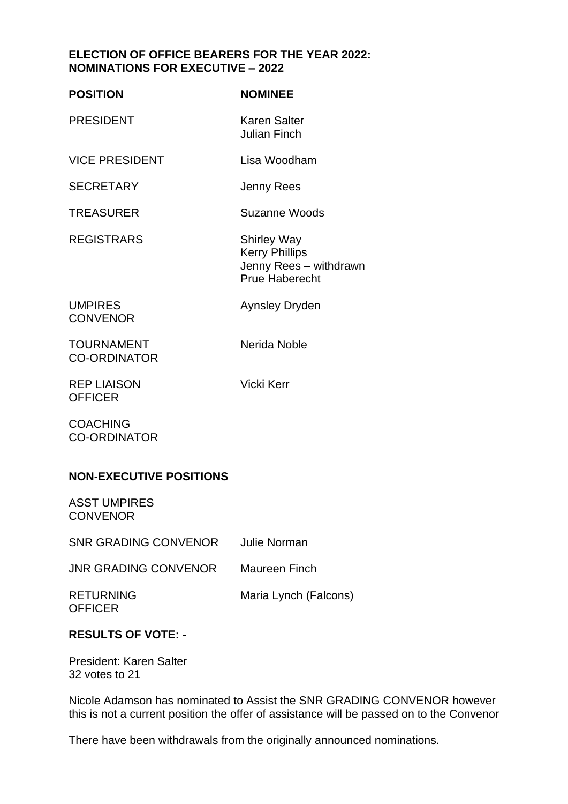## **ELECTION OF OFFICE BEARERS FOR THE YEAR 2022: NOMINATIONS FOR EXECUTIVE – 2022**

| <b>POSITION</b>                          | <b>NOMINEE</b>                                                                                 |
|------------------------------------------|------------------------------------------------------------------------------------------------|
| <b>PRESIDENT</b>                         | <b>Karen Salter</b><br><b>Julian Finch</b>                                                     |
| <b>VICE PRESIDENT</b>                    | Lisa Woodham                                                                                   |
| <b>SECRETARY</b>                         | Jenny Rees                                                                                     |
| <b>TREASURER</b>                         | Suzanne Woods                                                                                  |
| <b>REGISTRARS</b>                        | <b>Shirley Way</b><br><b>Kerry Phillips</b><br>Jenny Rees - withdrawn<br><b>Prue Haberecht</b> |
| <b>UMPIRES</b><br><b>CONVENOR</b>        | <b>Aynsley Dryden</b>                                                                          |
| <b>TOURNAMENT</b><br><b>CO-ORDINATOR</b> | Nerida Noble                                                                                   |
| <b>REP LIAISON</b><br><b>OFFICER</b>     | Vicki Kerr                                                                                     |

**COACHING** CO-ORDINATOR

## **NON-EXECUTIVE POSITIONS**

ASST UMPIRES **CONVENOR** 

SNR GRADING CONVENOR Julie Norman

JNR GRADING CONVENOR Maureen Finch

**OFFICER** 

RETURNING Maria Lynch (Falcons)

## **RESULTS OF VOTE: -**

President: Karen Salter 32 votes to 21

Nicole Adamson has nominated to Assist the SNR GRADING CONVENOR however this is not a current position the offer of assistance will be passed on to the Convenor

There have been withdrawals from the originally announced nominations.